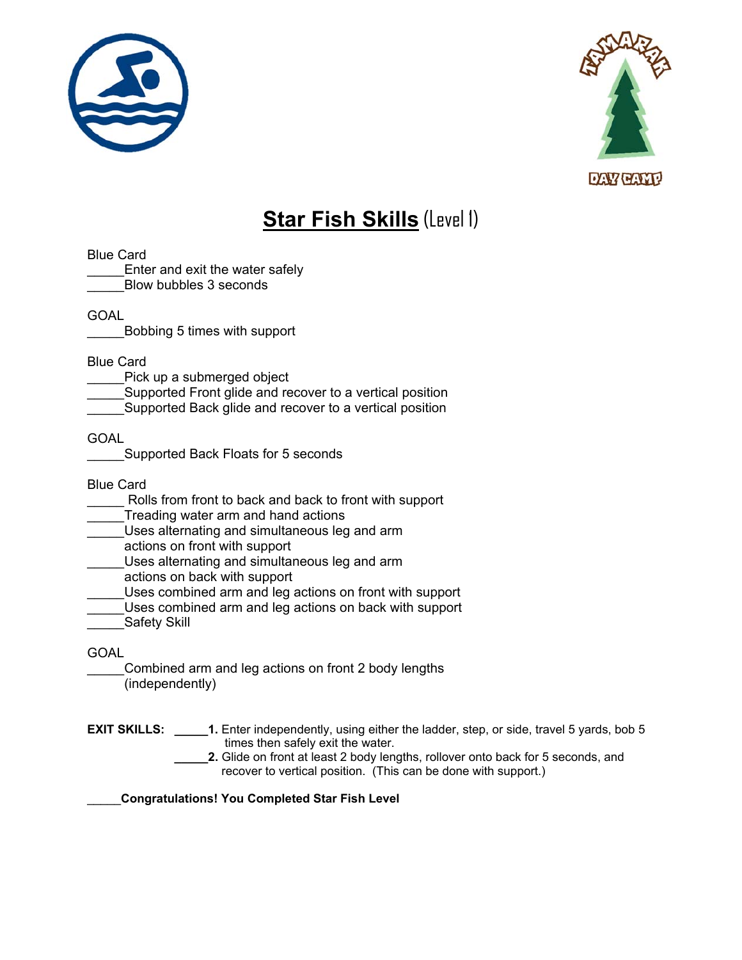



## **Star Fish Skills** (Level 1)

Blue Card

Enter and exit the water safely \_\_\_\_\_Blow bubbles 3 seconds

GOAL

\_\_\_\_\_Bobbing 5 times with support

Blue Card

Pick up a submerged object

Supported Front glide and recover to a vertical position

Supported Back glide and recover to a vertical position

GOAL

Supported Back Floats for 5 seconds

Blue Card

Rolls from front to back and back to front with support

Treading water arm and hand actions

Uses alternating and simultaneous leg and arm

actions on front with support

\_\_\_\_\_Uses alternating and simultaneous leg and arm

actions on back with support

Uses combined arm and leg actions on front with support

Uses combined arm and leg actions on back with support

Safety Skill

GOAL

Combined arm and leg actions on front 2 body lengths (independently)

**EXIT SKILLS:** \_\_\_\_\_\_1. Enter independently, using either the ladder, step, or side, travel 5 yards, bob 5 times then safely exit the water.

**\_\_\_\_\_2.** Glide on front at least 2 body lengths, rollover onto back for 5 seconds, and recover to vertical position. (This can be done with support.)

\_\_\_\_\_**Congratulations! You Completed Star Fish Level**